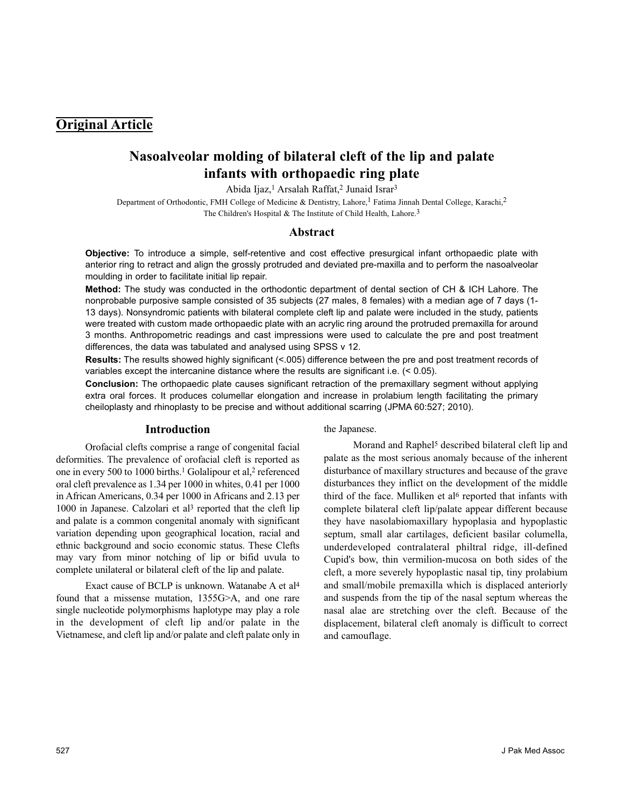# **Original Article**

# **Nasoalveolar molding of bilateral cleft of the lip and palate infants with orthopaedic ring plate**

Abida Ijaz,<sup>1</sup> Arsalah Raffat,<sup>2</sup> Junaid Israr<sup>3</sup>

Department of Orthodontic, FMH College of Medicine & Dentistry, Lahore,<sup>1</sup> Fatima Jinnah Dental College, Karachi,<sup>2</sup> The Children's Hospital & The Institute of Child Health, Lahore.<sup>3</sup>

## **Abstract**

**Objective:** To introduce a simple, self-retentive and cost effective presurgical infant orthopaedic plate with anterior ring to retract and align the grossly protruded and deviated pre-maxilla and to perform the nasoalveolar moulding in order to facilitate initial lip repair.

**Method:** The study was conducted in the orthodontic department of dental section of CH & ICH Lahore. The nonprobable purposive sample consisted of 35 subjects (27 males, 8 females) with a median age of 7 days (1- 13 days). Nonsyndromic patients with bilateral complete cleft lip and palate were included in the study, patients were treated with custom made orthopaedic plate with an acrylic ring around the protruded premaxilla for around 3 months. Anthropometric readings and cast impressions were used to calculate the pre and post treatment differences, the data was tabulated and analysed using SPSS v 12.

**Results:** The results showed highly significant (<.005) difference between the pre and post treatment records of variables except the intercanine distance where the results are significant i.e. (< 0.05).

**Conclusion:** The orthopaedic plate causes significant retraction of the premaxillary segment without applying extra oral forces. It produces columellar elongation and increase in prolabium length facilitating the primary cheiloplasty and rhinoplasty to be precise and without additional scarring (JPMA 60:527; 2010).

## **Introduction**

Orofacial clefts comprise a range of congenital facial deformities. The prevalence of orofacial cleft is reported as one in every 500 to 1000 births.<sup>1</sup> Golalipour et al,<sup>2</sup> referenced oral cleft prevalence as 1.34 per 1000 in whites, 0.41 per 1000 in African Americans, 0.34 per 1000 in Africans and 2.13 per 1000 in Japanese. Calzolari et al<sup>3</sup> reported that the cleft lip and palate is a common congenital anomaly with significant variation depending upon geographical location, racial and ethnic background and socio economic status. These Clefts may vary from minor notching of lip or bifid uvula to complete unilateral or bilateral cleft of the lip and palate.

Exact cause of BCLP is unknown. Watanabe A et al<sup>4</sup> found that a missense mutation, 1355G>A, and one rare single nucleotide polymorphisms haplotype may play a role in the development of cleft lip and/or palate in the Vietnamese, and cleft lip and/or palate and cleft palate only in

the Japanese.

Morand and Raphel<sup>5</sup> described bilateral cleft lip and palate as the most serious anomaly because of the inherent disturbance of maxillary structures and because of the grave disturbances they inflict on the development of the middle third of the face. Mulliken et al<sup>6</sup> reported that infants with complete bilateral cleft lip/palate appear different because they have nasolabiomaxillary hypoplasia and hypoplastic septum, small alar cartilages, deficient basilar columella, underdeveloped contralateral philtral ridge, ill-defined Cupid's bow, thin vermilion-mucosa on both sides of the cleft, a more severely hypoplastic nasal tip, tiny prolabium and small/mobile premaxilla which is displaced anteriorly and suspends from the tip of the nasal septum whereas the nasal alae are stretching over the cleft. Because of the displacement, bilateral cleft anomaly is difficult to correct and camouflage.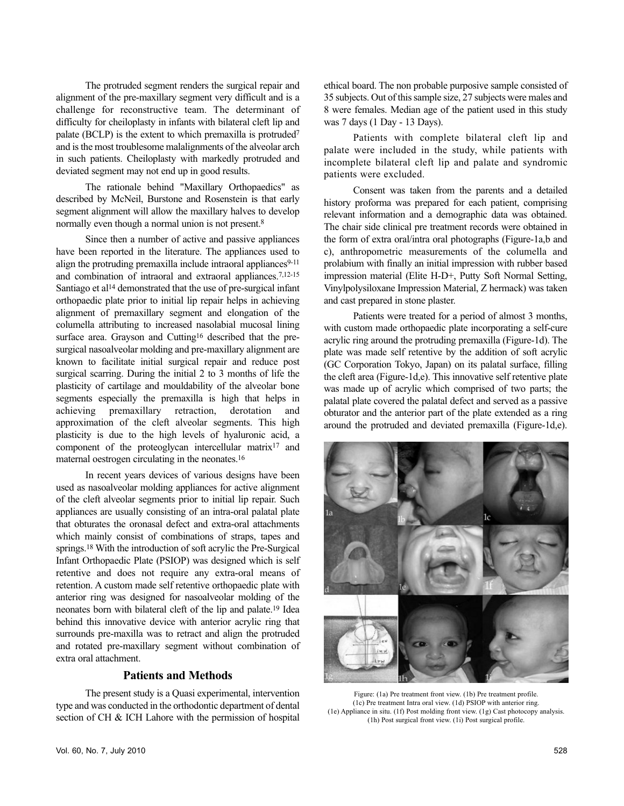The protruded segment renders the surgical repair and alignment of the pre-maxillary segment very difficult and is a challenge for reconstructive team. The determinant of difficulty for cheiloplasty in infants with bilateral cleft lip and palate (BCLP) is the extent to which premaxilla is protruded<sup>7</sup> and is the most troublesome malalignments of the alveolar arch in such patients. Cheiloplasty with markedly protruded and deviated segment may not end up in good results.

The rationale behind "Maxillary Orthopaedics" as described by McNeil, Burstone and Rosenstein is that early segment alignment will allow the maxillary halves to develop normally even though a normal union is not present.<sup>8</sup>

Since then a number of active and passive appliances have been reported in the literature. The appliances used to align the protruding premaxilla include intraoral appliances<sup>9-11</sup> and combination of intraoral and extraoral appliances.7,12-15 Santiago et al<sup>14</sup> demonstrated that the use of pre-surgical infant orthopaedic plate prior to initial lip repair helps in achieving alignment of premaxillary segment and elongation of the columella attributing to increased nasolabial mucosal lining surface area. Grayson and Cutting<sup>16</sup> described that the presurgical nasoalveolar molding and pre-maxillary alignment are known to facilitate initial surgical repair and reduce post surgical scarring. During the initial 2 to 3 months of life the plasticity of cartilage and mouldability of the alveolar bone segments especially the premaxilla is high that helps in achieving premaxillary retraction, derotation and approximation of the cleft alveolar segments. This high plasticity is due to the high levels of hyaluronic acid, a component of the proteoglycan intercellular matrix<sup>17</sup> and maternal oestrogen circulating in the neonates.<sup>16</sup>

In recent years devices of various designs have been used as nasoalveolar molding appliances for active alignment of the cleft alveolar segments prior to initial lip repair. Such appliances are usually consisting of an intra-oral palatal plate that obturates the oronasal defect and extra-oral attachments which mainly consist of combinations of straps, tapes and springs.<sup>18</sup> With the introduction of soft acrylic the Pre-Surgical Infant Orthopaedic Plate (PSIOP) was designed which is self retentive and does not require any extra-oral means of retention. A custom made self retentive orthopaedic plate with anterior ring was designed for nasoalveolar molding of the neonates born with bilateral cleft of the lip and palate.<sup>19</sup> Idea behind this innovative device with anterior acrylic ring that surrounds pre-maxilla was to retract and align the protruded and rotated pre-maxillary segment without combination of extra oral attachment.

## **Patients and Methods**

The present study is a Quasi experimental, intervention type and was conducted in the orthodontic department of dental section of CH & ICH Lahore with the permission of hospital

Patients with complete bilateral cleft lip and palate were included in the study, while patients with incomplete bilateral cleft lip and palate and syndromic patients were excluded.

Consent was taken from the parents and a detailed history proforma was prepared for each patient, comprising relevant information and a demographic data was obtained. The chair side clinical pre treatment records were obtained in the form of extra oral/intra oral photographs (Figure-1a,b and c), anthropometric measurements of the columella and prolabium with finally an initial impression with rubber based impression material (Elite H-D+, Putty Soft Normal Setting, Vinylpolysiloxane Impression Material, Z hermack) was taken and cast prepared in stone plaster.

Patients were treated for a period of almost 3 months, with custom made orthopaedic plate incorporating a self-cure acrylic ring around the protruding premaxilla (Figure-1d). The plate was made self retentive by the addition of soft acrylic (GC Corporation Tokyo, Japan) on its palatal surface, filling the cleft area (Figure-1d,e). This innovative self retentive plate was made up of acrylic which comprised of two parts; the palatal plate covered the palatal defect and served as a passive obturator and the anterior part of the plate extended as a ring around the protruded and deviated premaxilla (Figure-1d,e).



Figure: (1a) Pre treatment front view. (1b) Pre treatment profile. (1c) Pre treatment Intra oral view. (1d) PSIOP with anterior ring. (1e) Appliance in situ. (1f) Post molding front view. (1g) Cast photocopy analysis. (1h) Post surgical front view. (1i) Post surgical profile.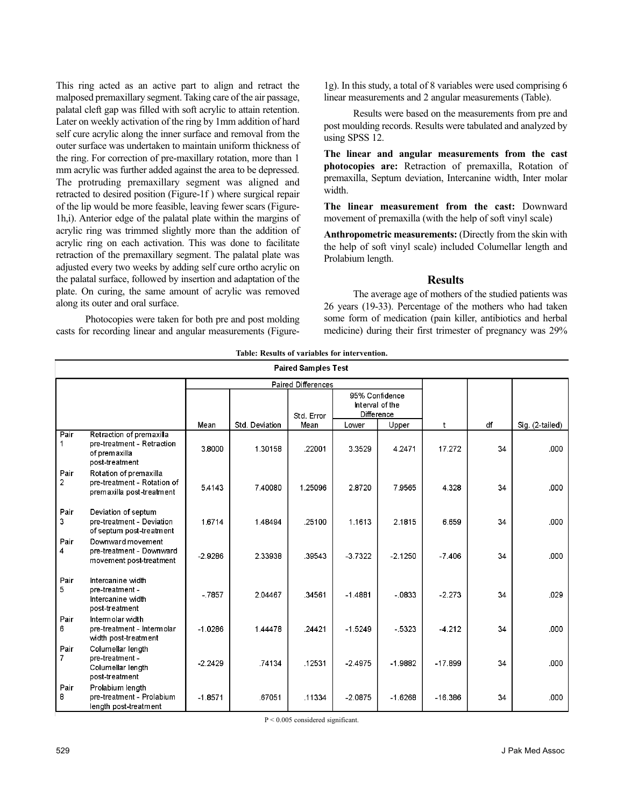This ring acted as an active part to align and retract the malposed premaxillary segment. Taking care of the air passage, palatal cleft gap was filled with soft acrylic to attain retention. Later on weekly activation of the ring by 1mm addition of hard self cure acrylic along the inner surface and removal from the outer surface was undertaken to maintain uniform thickness of the ring. For correction of pre-maxillary rotation, more than 1 mm acrylic was further added against the area to be depressed. The protruding premaxillary segment was aligned and retracted to desired position (Figure-1f ) where surgical repair of the lip would be more feasible, leaving fewer scars (Figure-1h,i). Anterior edge of the palatal plate within the margins of acrylic ring was trimmed slightly more than the addition of acrylic ring on each activation. This was done to facilitate retraction of the premaxillary segment. The palatal plate was adjusted every two weeks by adding self cure ortho acrylic on the palatal surface, followed by insertion and adaptation of the plate. On curing, the same amount of acrylic was removed along its outer and oral surface.

Photocopies were taken for both pre and post molding casts for recording linear and angular measurements (Figure1g). In this study, a total of 8 variables were used comprising 6 linear measurements and 2 angular measurements (Table).

Results were based on the measurements from pre and post moulding records. Results were tabulated and analyzed by using SPSS 12.

**The linear and angular measurements from the cast photocopies are:** Retraction of premaxilla, Rotation of premaxilla, Septum deviation, Intercanine width, Inter molar width.

**The linear measurement from the cast:** Downward movement of premaxilla (with the help of soft vinyl scale)

**Anthropometric measurements:** (Directly from the skin with the help of soft vinyl scale) included Columellar length and Prolabium length.

## **Results**

The average age of mothers of the studied patients was 26 years (19-33). Percentage of the mothers who had taken some form of medication (pain killer, antibiotics and herbal medicine) during their first trimester of pregnancy was 29%

| <b>Paired Samples Test</b> |                                                                                           |                           |                |            |                                                 |           |           |     |                 |
|----------------------------|-------------------------------------------------------------------------------------------|---------------------------|----------------|------------|-------------------------------------------------|-----------|-----------|-----|-----------------|
|                            |                                                                                           | <b>Paired Differences</b> |                |            |                                                 |           |           |     |                 |
|                            |                                                                                           |                           |                | Std. Error | 95% Confidence<br>Interval of the<br>Difference |           |           |     |                 |
|                            |                                                                                           | Mean                      | Std. Deviation | Mean       | Lower                                           | Upper     | t         | df. | Sig. (2-tailed) |
| Pair<br>1                  | Retraction of premaxilla<br>pre-treatment - Retraction<br>of premaxilla<br>post-treatment | 3.8000                    | 1.30158        | .22001     | 3.3529                                          | 4.2471    | 17.272    | 34  | .000            |
| Pair<br>$\overline{2}$     | Rotation of premaxilla<br>pre-treatment - Rotation of<br>premaxilla post-treatment        | 5.4143                    | 7.40080        | 1.25096    | 2.8720                                          | 7.9565    | 4.328     | 34  | .000            |
| Pair<br>3                  | Deviation of septum<br>pre-treatment - Deviation<br>of septum post-treatment              | 1.6714                    | 1.48494        | .25100     | 1.1613                                          | 2.1815    | 6.659     | 34  | .000            |
| Pair<br>4                  | Downward movement<br>pre-treatment - Downward<br>movement post-treatment                  | $-2.9286$                 | 2.33938        | 39543      | $-3.7322$                                       | $-2.1250$ | $-7.406$  | 34  | .000            |
| Pair<br>5.                 | Intercanine width<br>pre-treatment -<br>Intercanine width<br>post-treatment               | $-7857$                   | 2.04467        | .34561     | $-1.4881$                                       | $-.0833$  | $-2.273$  | 34  | .029            |
| Pair<br>6.                 | Intermolar width<br>pre-treatment - Intermolar<br>width post-treatment                    | $-1.0286$                 | 1.44478        | .24421     | $-1.5249$                                       | $-5323$   | $-4.212$  | 34  | .000            |
| Pair<br>7                  | Columellar length<br>pre-treatment -<br>Columellar length<br>post-treatment               | $-2.2429$                 | .74134         | .12531     | $-2.4975$                                       | $-1.9882$ | $-17.899$ | 34  | .000            |
| Pair<br>8                  | Prolabium length<br>pre-treatment - Prolabium<br>length post-treatment                    | $-1.8571$                 | .67051         | .11334     | $-2.0875$                                       | $-1.6268$ | $-16.386$ | 34  | .000            |

**Table: Results of variables for intervention.**

P < 0.005 considered significant.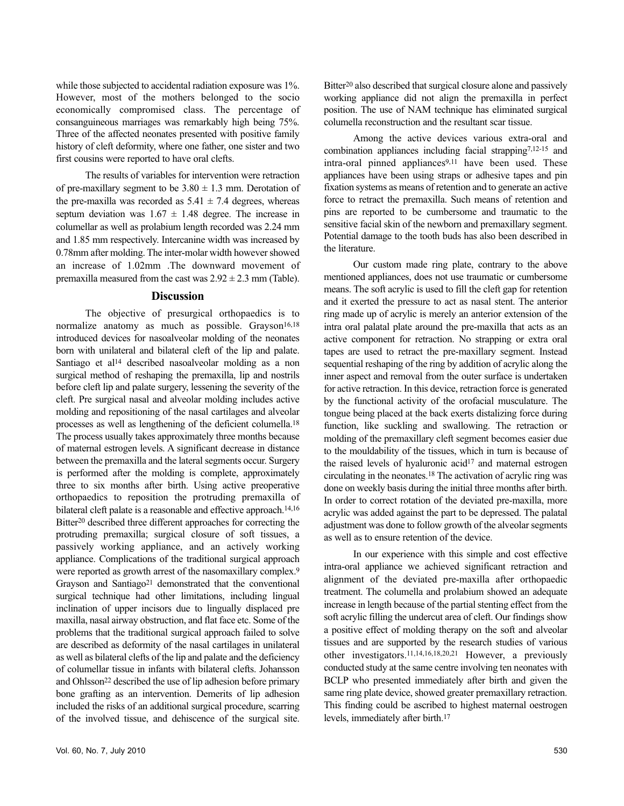while those subjected to accidental radiation exposure was 1%. However, most of the mothers belonged to the socio economically compromised class. The percentage of consanguineous marriages was remarkably high being 75%. Three of the affected neonates presented with positive family history of cleft deformity, where one father, one sister and two first cousins were reported to have oral clefts.

The results of variables for intervention were retraction of pre-maxillary segment to be  $3.80 \pm 1.3$  mm. Derotation of the pre-maxilla was recorded as  $5.41 \pm 7.4$  degrees, whereas septum deviation was  $1.67 \pm 1.48$  degree. The increase in columellar as well as prolabium length recorded was 2.24 mm and 1.85 mm respectively. Intercanine width was increased by 0.78mm after molding. The inter-molar width however showed an increase of 1.02mm .The downward movement of premaxilla measured from the cast was  $2.92 \pm 2.3$  mm (Table).

## **Discussion**

The objective of presurgical orthopaedics is to normalize anatomy as much as possible. Grayson<sup>16,18</sup> introduced devices for nasoalveolar molding of the neonates born with unilateral and bilateral cleft of the lip and palate. Santiago et al<sup>14</sup> described nasoalveolar molding as a non surgical method of reshaping the premaxilla, lip and nostrils before cleft lip and palate surgery, lessening the severity of the cleft. Pre surgical nasal and alveolar molding includes active molding and repositioning of the nasal cartilages and alveolar processes as well as lengthening of the deficient columella.<sup>18</sup> The process usually takes approximately three months because of maternal estrogen levels. A significant decrease in distance between the premaxilla and the lateral segments occur. Surgery is performed after the molding is complete, approximately three to six months after birth. Using active preoperative orthopaedics to reposition the protruding premaxilla of bilateral cleft palate is a reasonable and effective approach.14,16 Bitter<sup>20</sup> described three different approaches for correcting the protruding premaxilla; surgical closure of soft tissues, a passively working appliance, and an actively working appliance. Complications of the traditional surgical approach were reported as growth arrest of the nasomaxillary complex.<sup>9</sup> Grayson and Santiago<sup>21</sup> demonstrated that the conventional surgical technique had other limitations, including lingual inclination of upper incisors due to lingually displaced pre maxilla, nasal airway obstruction, and flat face etc. Some of the problems that the traditional surgical approach failed to solve are described as deformity of the nasal cartilages in unilateral as well as bilateral clefts of the lip and palate and the deficiency of columellar tissue in infants with bilateral clefts. Johansson and Ohlsson<sup>22</sup> described the use of lip adhesion before primary bone grafting as an intervention. Demerits of lip adhesion included the risks of an additional surgical procedure, scarring of the involved tissue, and dehiscence of the surgical site.

Bitter<sup>20</sup> also described that surgical closure alone and passively working appliance did not align the premaxilla in perfect position. The use of NAM technique has eliminated surgical columella reconstruction and the resultant scar tissue.

Among the active devices various extra-oral and combination appliances including facial strapping7,12-15 and intra-oral pinned appliances<sup>9,11</sup> have been used. These appliances have been using straps or adhesive tapes and pin fixation systems as means of retention and to generate an active force to retract the premaxilla. Such means of retention and pins are reported to be cumbersome and traumatic to the sensitive facial skin of the newborn and premaxillary segment. Potential damage to the tooth buds has also been described in the literature.

Our custom made ring plate, contrary to the above mentioned appliances, does not use traumatic or cumbersome means. The soft acrylic is used to fill the cleft gap for retention and it exerted the pressure to act as nasal stent. The anterior ring made up of acrylic is merely an anterior extension of the intra oral palatal plate around the pre-maxilla that acts as an active component for retraction. No strapping or extra oral tapes are used to retract the pre-maxillary segment. Instead sequential reshaping of the ring by addition of acrylic along the inner aspect and removal from the outer surface is undertaken for active retraction. In this device, retraction force is generated by the functional activity of the orofacial musculature. The tongue being placed at the back exerts distalizing force during function, like suckling and swallowing. The retraction or molding of the premaxillary cleft segment becomes easier due to the mouldability of the tissues, which in turn is because of the raised levels of hyaluronic acid<sup>17</sup> and maternal estrogen circulating in the neonates.<sup>18</sup> The activation of acrylic ring was done on weekly basis during the initial three months after birth. In order to correct rotation of the deviated pre-maxilla, more acrylic was added against the part to be depressed. The palatal adjustment was done to follow growth of the alveolar segments as well as to ensure retention of the device.

In our experience with this simple and cost effective intra-oral appliance we achieved significant retraction and alignment of the deviated pre-maxilla after orthopaedic treatment. The columella and prolabium showed an adequate increase in length because of the partial stenting effect from the soft acrylic filling the undercut area of cleft. Our findings show a positive effect of molding therapy on the soft and alveolar tissues and are supported by the research studies of various other investigators.11,14,16,18,20,21 However, a previously conducted study at the same centre involving ten neonates with BCLP who presented immediately after birth and given the same ring plate device, showed greater premaxillary retraction. This finding could be ascribed to highest maternal oestrogen levels, immediately after birth.<sup>17</sup>